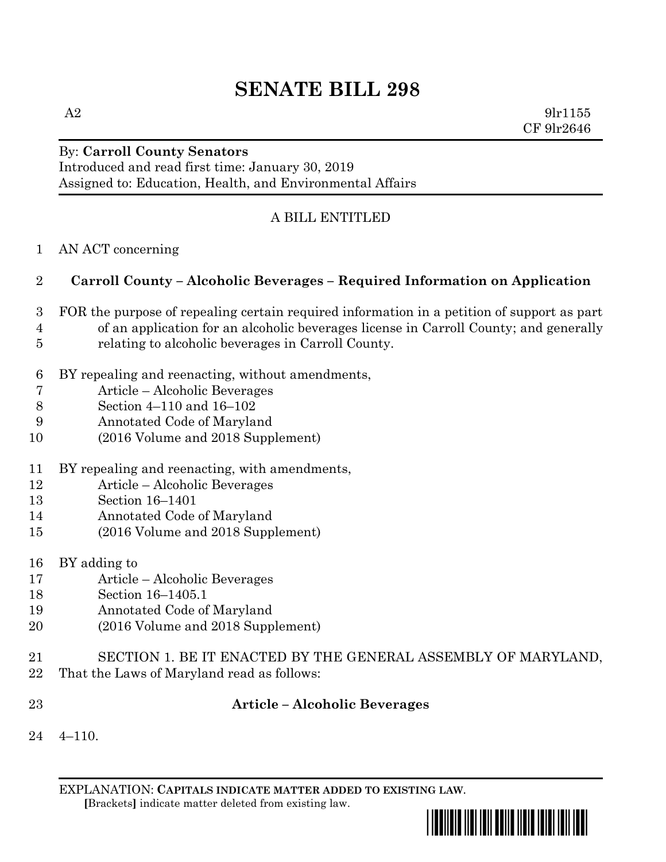# **SENATE BILL 298**

 $A2 \qquad \qquad 9 \text{lr} 1155$ CF 9lr2646

## By: **Carroll County Senators**

Introduced and read first time: January 30, 2019 Assigned to: Education, Health, and Environmental Affairs

### A BILL ENTITLED

AN ACT concerning

### **Carroll County – Alcoholic Beverages – Required Information on Application**

- FOR the purpose of repealing certain required information in a petition of support as part of an application for an alcoholic beverages license in Carroll County; and generally relating to alcoholic beverages in Carroll County.
- BY repealing and reenacting, without amendments,
- Article Alcoholic Beverages
- Section 4–110 and 16–102
- Annotated Code of Maryland
- (2016 Volume and 2018 Supplement)
- BY repealing and reenacting, with amendments,
- Article Alcoholic Beverages
- Section 16–1401
- Annotated Code of Maryland
- (2016 Volume and 2018 Supplement)
- BY adding to
- Article Alcoholic Beverages
- Section 16–1405.1
- Annotated Code of Maryland
- (2016 Volume and 2018 Supplement)
- SECTION 1. BE IT ENACTED BY THE GENERAL ASSEMBLY OF MARYLAND,
- That the Laws of Maryland read as follows:
- 

#### **Article – Alcoholic Beverages**

 $24 \quad 4 - 110$ .

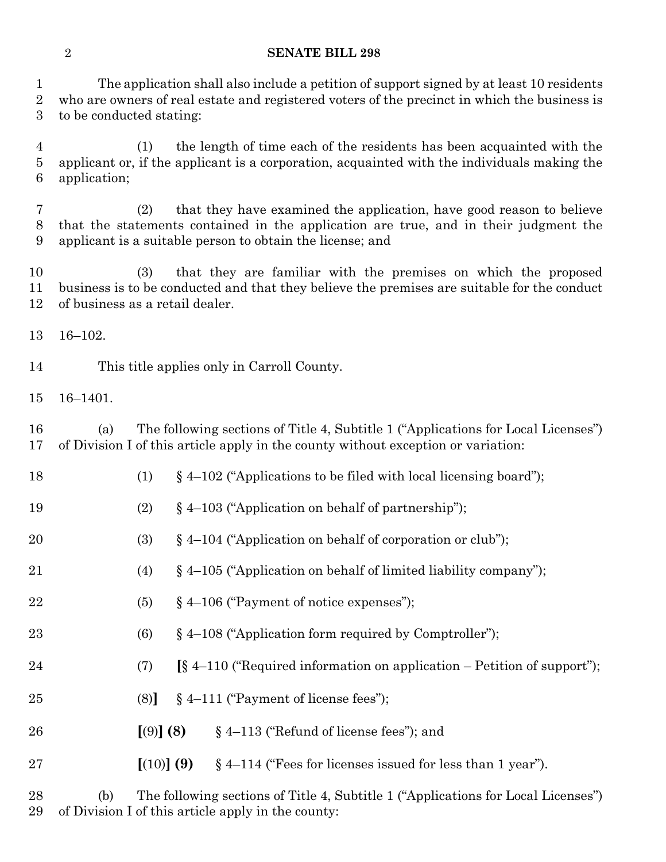#### **SENATE BILL 298**

 The application shall also include a petition of support signed by at least 10 residents who are owners of real estate and registered voters of the precinct in which the business is to be conducted stating:

 (1) the length of time each of the residents has been acquainted with the applicant or, if the applicant is a corporation, acquainted with the individuals making the application;

 (2) that they have examined the application, have good reason to believe that the statements contained in the application are true, and in their judgment the applicant is a suitable person to obtain the license; and

 (3) that they are familiar with the premises on which the proposed business is to be conducted and that they believe the premises are suitable for the conduct of business as a retail dealer.

16–102.

This title applies only in Carroll County.

16–1401.

 (a) The following sections of Title 4, Subtitle 1 ("Applications for Local Licenses") of Division I of this article apply in the county without exception or variation:

- 18 (1) § 4–102 ("Applications to be filed with local licensing board");
- (2) § 4–103 ("Application on behalf of partnership");
- (3) § 4–104 ("Application on behalf of corporation or club");
- (4) § 4–105 ("Application on behalf of limited liability company");
- 22  $(5)$   $\&$  4–106 ("Payment of notice expenses");
- 23 (6)  $§ 4-108$  ("Application form required by Comptroller");
- (7) **[**§ 4–110 ("Required information on application Petition of support");
- (8)**]** § 4–111 ("Payment of license fees");
- **[**(9)**] (8)** § 4–113 ("Refund of license fees"); and
- **[**(10)**] (9)** § 4–114 ("Fees for licenses issued for less than 1 year").

 (b) The following sections of Title 4, Subtitle 1 ("Applications for Local Licenses") of Division I of this article apply in the county: